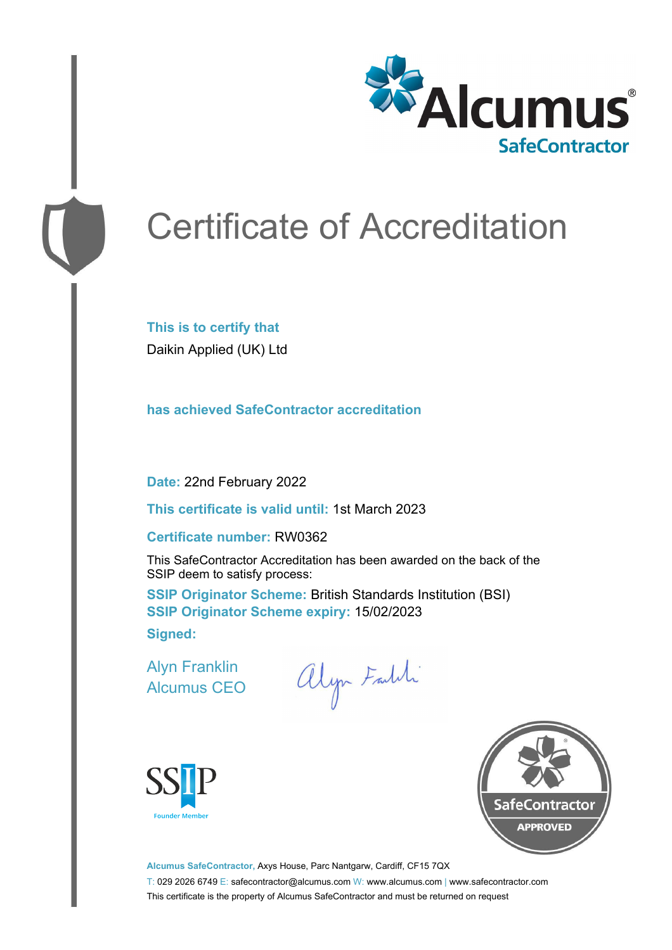

# Certificate of Accreditation

**This is to certify that** Daikin Applied (UK) Ltd

**has achieved SafeContractor accreditation**

**Date:** 22nd February 2022

**This certificate is valid until:** 1st March 2023

#### **Certificate number:** RW0362

This SafeContractor Accreditation has been awarded on the back of the SSIP deem to satisfy process:

**SSIP Originator Scheme:** British Standards Institution (BSI) **SSIP Originator Scheme expiry:** 15/02/2023 **Signed:**

Alyn Franklin Alcumus CEO

alyn Faldi





**Alcumus SafeContractor,** Axys House, Parc Nantgarw, Cardiff, CF15 7QX T: 029 2026 6749 E: safecontractor@alcumus.com W: www.alcumus.com | www.safecontractor.com This certificate is the property of Alcumus SafeContractor and must be returned on request